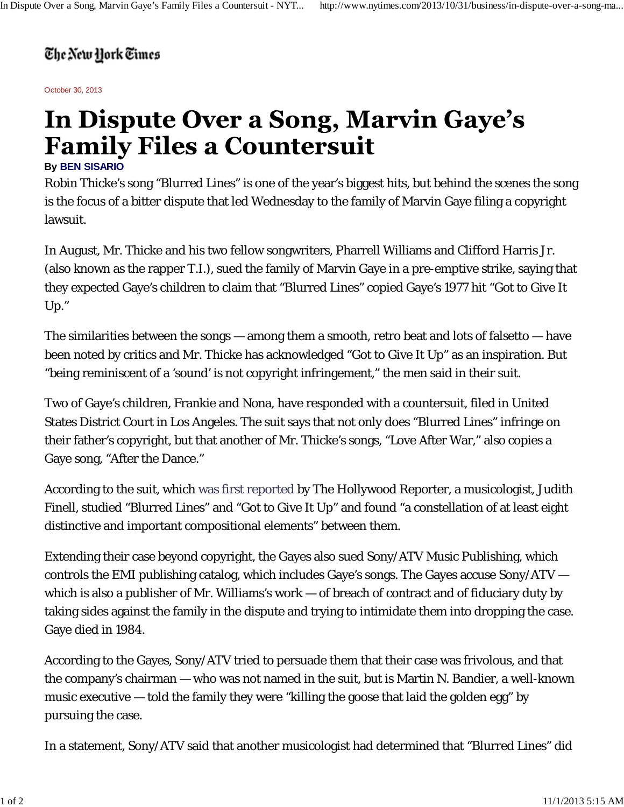## The New York Times

October 30, 2013

## In Dispute Over a Song, Marvin Gaye's **Family Files a Countersuit**

## **By BEN SISARIO**

Robin Thicke's song "Blurred Lines" is one of the year's biggest hits, but behind the scenes the song is the focus of a bitter dispute that led Wednesday to the family of Marvin Gaye filing a copyright lawsuit.

In August, Mr. Thicke and his two fellow songwriters, Pharrell Williams and Clifford Harris Jr. (also known as the rapper T.I.), sued the family of Marvin Gaye in a pre-emptive strike, saying that they expected Gaye's children to claim that "Blurred Lines" copied Gaye's 1977 hit "Got to Give It Up."

The similarities between the songs — among them a smooth, retro beat and lots of falsetto — have been noted by critics and Mr. Thicke has acknowledged "Got to Give It Up" as an inspiration. But "being reminiscent of a 'sound' is not copyright infringement," the men said in their suit.

Two of Gaye's children, Frankie and Nona, have responded with a countersuit, filed in United States District Court in Los Angeles. The suit says that not only does "Blurred Lines" infringe on their father's copyright, but that another of Mr. Thicke's songs, "Love After War," also copies a Gaye song, "After the Dance."

According to the suit, which was first reported by The Hollywood Reporter, a musicologist, Judith Finell, studied "Blurred Lines" and "Got to Give It Up" and found "a constellation of at least eight distinctive and important compositional elements" between them.

Extending their case beyond copyright, the Gayes also sued Sony/ATV Music Publishing, which controls the EMI publishing catalog, which includes Gaye's songs. The Gayes accuse Sony/ATV which is also a publisher of Mr. Williams's work — of breach of contract and of fiduciary duty by taking sides against the family in the dispute and trying to intimidate them into dropping the case. Gaye died in 1984.

According to the Gayes, Sony/ATV tried to persuade them that their case was frivolous, and that the company's chairman — who was not named in the suit, but is Martin N. Bandier, a well-known music executive — told the family they were "killing the goose that laid the golden egg" by pursuing the case.

In a statement, Sony/ATV said that another musicologist had determined that "Blurred Lines" did